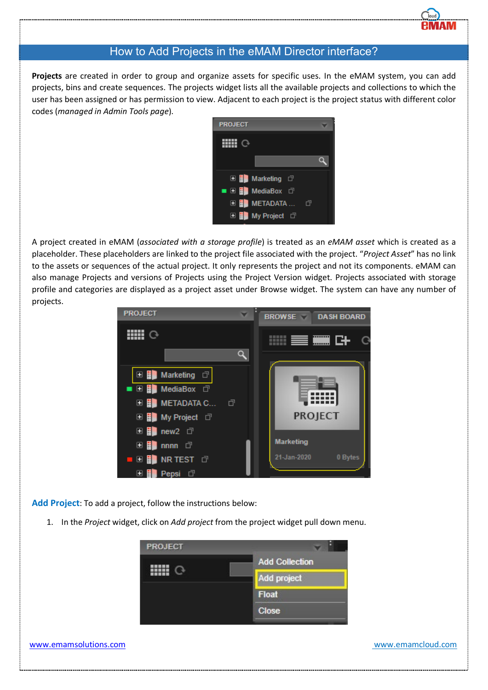# How to Add Projects in the eMAM Director interface?

**Projects** are created in order to group and organize assets for specific uses. In the eMAM system, you can add projects, bins and create sequences. The projects widget lists all the available projects and collections to which the user has been assigned or has permission to view. Adjacent to each project is the project status with different color codes (*managed in Admin Tools page*).



A project created in eMAM (*associated with a storage profile*) is treated as an *eMAM asset* which is created as a placeholder. These placeholders are linked to the project file associated with the project. "*Project Asset*" has no link to the assets or sequences of the actual project. It only represents the project and not its components. eMAM can also manage Projects and versions of Projects using the Project Version widget. Projects associated with storage profile and categories are displayed as a project asset under Browse widget. The system can have any number of projects.



**Add Project**: To add a project, follow the instructions below:

1. In the *Project* widget, click on *Add project* from the project widget pull down menu.

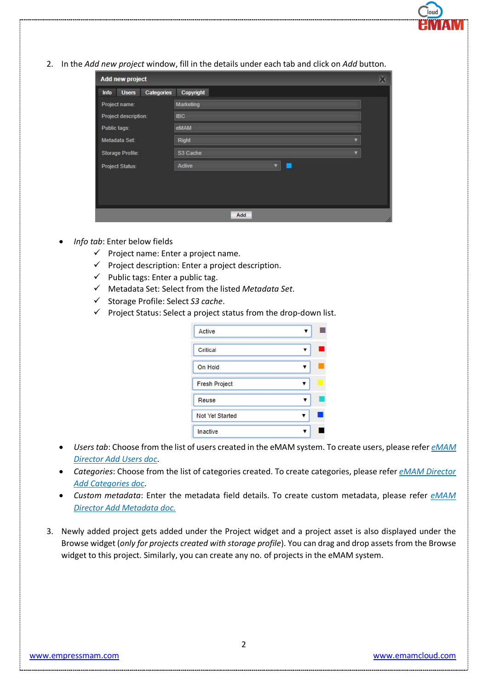2. In the *Add new project* window, fill in the details under each tab and click on *Add* button.

| Add new project                    |                   |  |  |
|------------------------------------|-------------------|--|--|
| Categories<br><b>Users</b><br>Info | Copyright         |  |  |
| Project name:                      | <b>Marketing</b>  |  |  |
| Project description:               | <b>IBC</b>        |  |  |
| Public tags:                       | eMAM              |  |  |
| Metadata Set:                      | Right             |  |  |
| Storage Profile:                   | S3 Cache          |  |  |
| Project Status:                    | Active<br>v<br>L. |  |  |
|                                    |                   |  |  |
|                                    |                   |  |  |
|                                    |                   |  |  |
|                                    | Add               |  |  |

- *Info tab*: Enter below fields
	- $\checkmark$  Project name: Enter a project name.
	- $\checkmark$  Project description: Enter a project description.
	- $\checkmark$  Public tags: Enter a public tag.
	- Metadata Set: Select from the listed *Metadata Set*.
	- Storage Profile: Select *S3 cache*.
	- $\checkmark$  Project Status: Select a project status from the drop-down list.

| Active               |  |
|----------------------|--|
| Critical             |  |
| On Hold              |  |
| <b>Fresh Project</b> |  |
| Reuse                |  |
| Not Yet Started      |  |
| Inactive             |  |

- *Users tab*: Choose from the list of users created in the eMAM system. To create users, please refer *eMAM Director Add Users doc*.
- *Categories*: Choose from the list of categories created. To create categories, please refer *eMAM Director Add Categories doc*.
- *Custom metadata*: Enter the metadata field details. To create custom metadata, please refer *eMAM Director Add Metadata doc.*
- 3. Newly added project gets added under the Project widget and a project asset is also displayed under the Browse widget (*only for projects created with storage profile*). You can drag and drop assets from the Browse widget to this project. Similarly, you can create any no. of projects in the eMAM system.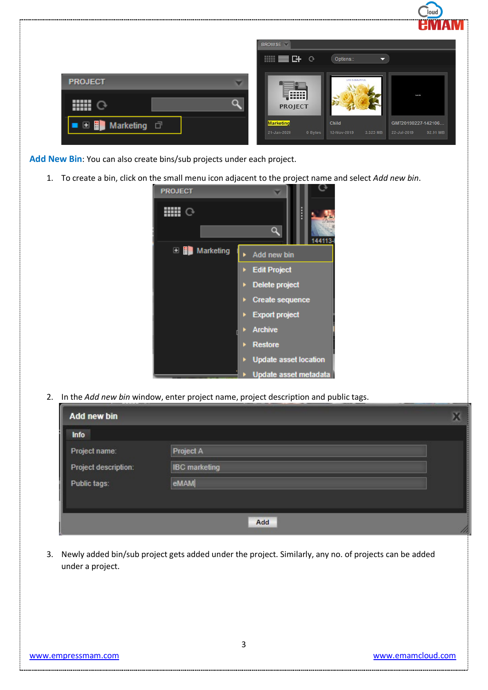|                        | ------<br>HМ                                                                                                                    |  |
|------------------------|---------------------------------------------------------------------------------------------------------------------------------|--|
|                        | <b>BROWSE</b><br><b>■■B+ ⊙</b><br>Options::                                                                                     |  |
| <b>PROJECT</b><br>┳    | Z<br>LIFE IS BEAUTIFUL                                                                                                          |  |
| <b>HELL</b><br>n       | [!!!!]<br>team 6k<br>$\mathcal{L}$<br><b>PROJECT</b>                                                                            |  |
| <b>□ ■</b> Marketing □ | <b>Marketing</b><br>Child<br>GMT20190227-142106<br>0 Bytes<br>12-Nov-2019<br>3.325 MB<br>22-Jul-2019<br>21-Jan-2020<br>92.91 MB |  |
|                        |                                                                                                                                 |  |

Add New Bin: You can also create bins/sub projects under each project.

1. To create a bin, click on the small menu icon adjacent to the project name and select *Add new bin*.



2. In the *Add new bin* window, enter project name, project description and public tags.

| <b>Add new bin</b>   |                      |  |
|----------------------|----------------------|--|
| Info                 |                      |  |
| Project name:        | <b>Project A</b>     |  |
| Project description: | <b>IBC</b> marketing |  |
| Public tags:         | eMAM                 |  |
|                      |                      |  |
|                      | Add                  |  |

3. Newly added bin/sub project gets added under the project. Similarly, any no. of projects can be added under a project.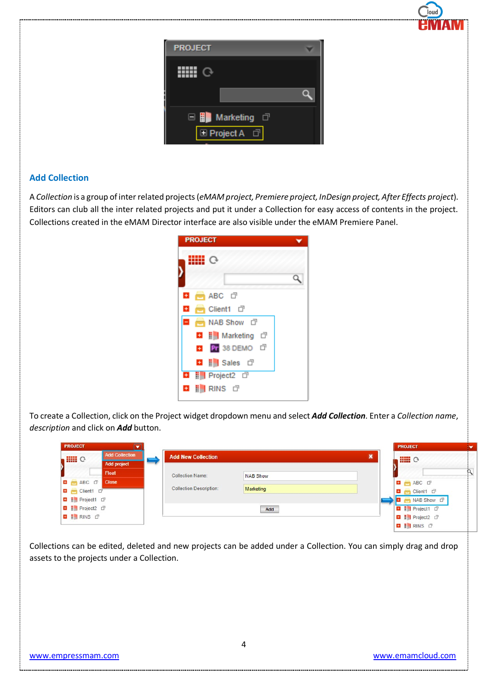| <b>PROJECT</b>     |  |
|--------------------|--|
|                    |  |
|                    |  |
| □ ■ Marketing □    |  |
| <b>E</b> Project A |  |

## **Add Collection**

A *Collection* is a group of inter related projects (*eMAM project, Premiere project, InDesign project, After Effects project*). Editors can club all the inter related projects and put it under a Collection for easy access of contents in the project. Collections created in the eMAM Director interface are also visible under the eMAM Premiere Panel.

| <b>PROJECT</b>                         |  |
|----------------------------------------|--|
|                                        |  |
|                                        |  |
| $\blacksquare$ ABC $\blacksquare$<br>÷ |  |
| ÷<br>B Client1 □                       |  |
| Ξ<br>MAB Show d                        |  |
| <b>□ H</b> Marketing □                 |  |
| <b>E Pr</b> 38 DEMO <b>D</b>           |  |
| <b>El i</b> Sales d'                   |  |
| <b>D</b>   Project2 <b>D</b>           |  |
| E RINS ⊡<br>d.                         |  |

To create a Collection, click on the Project widget dropdown menu and select *Add Collection*. Enter a *Collection name*, *description* and click on *Add* button.

| <b>PROJECT</b>                         |              |                                |                 |                | <b>PROJECT</b>               |  |
|----------------------------------------|--------------|--------------------------------|-----------------|----------------|------------------------------|--|
| <b>Add Collection</b><br><b>HIII</b> O |              | <b>Add New Collection</b>      |                 | $\pmb{\times}$ | <b>HIII</b> O                |  |
| Add project                            |              |                                |                 |                |                              |  |
|                                        | Float        | <b>Collection Name:</b>        | <b>NAB Show</b> |                |                              |  |
| <b>D</b> ABC <b>D</b>                  | <b>Close</b> |                                |                 |                | <b>E MABC</b> O              |  |
| Client1 D                              |              | <b>Collection Description:</b> | Marketing       |                | Client1 D                    |  |
| <b>D</b>   Project1 0                  |              |                                |                 |                | NAB Show D                   |  |
| <b>D</b>   Project2 <b>D</b>           |              |                                | Add             |                | <b>D</b>   Project1 <b>D</b> |  |
| <b>B</b>   RINS O                      |              |                                |                 |                | <b>■ il Project2</b> □       |  |
|                                        |              |                                |                 |                | <b>B</b>   RINS O            |  |

Collections can be edited, deleted and new projects can be added under a Collection. You can simply drag and drop assets to the projects under a Collection.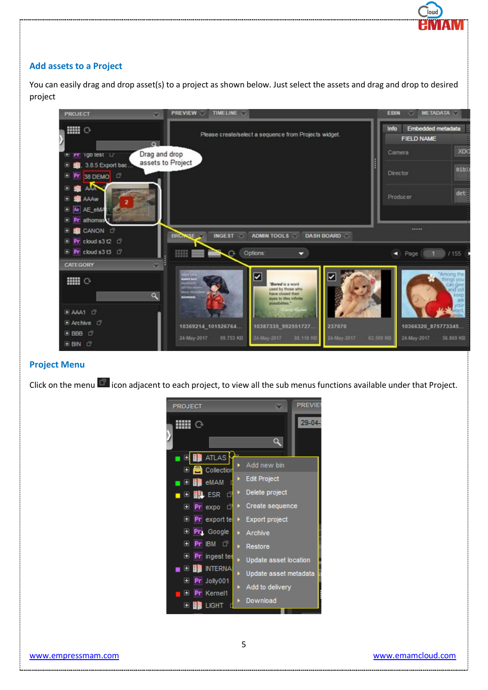#### **Add assets to a Project**

You can easily drag and drop asset(s) to a project as shown below. Just select the assets and drag and drop to desired project



#### **Project Menu**

Click on the menu  $\blacksquare$  icon adjacent to each project, to view all the sub menus functions available under that Project.



lou